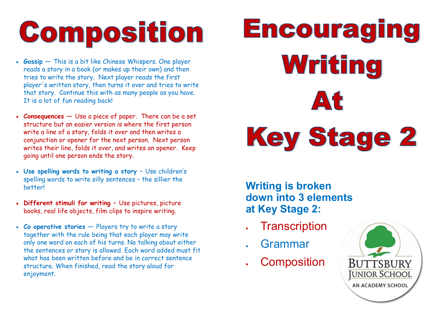### Composition

- **Gossip —** This is a bit like Chinese Whispers. One player reads a story in a book (or makes up their own) and then tries to write the story. Next player reads the first player's written story, then turns it over and tries to write that story. Continue this with as many people as you have. It is a lot of fun reading back!
- **Consequences —** Use a piece of paper. There can be a set structure but an easier version is where the first person write a line of a story, folds it over and then writes a conjunction or opener for the next person. Next person writes their line, folds it over, and writes an opener. Keep going until one person ends the story.
- **Use spelling words to writing a story –** Use children's spelling words to write silly sentences – the sillier the **better!**
- **Different stimuli for writing –** Use pictures, picture books, real life objects, film clips to inspire writing.
- **Co operative stories —** Players try to write a story together with the rule being that each player may write only one word on each of his turns. No talking about either the sentences or story is allowed. Each word added must fit what has been written before and be in correct sentence structure. When finished, read the story aloud for enjoyment.

# **Encouraging** Writing At **Key Stage 2**

**Writing is broken down into 3 elements at Key Stage 2:**

- **Transcription**
- Grammar
- **Composition**